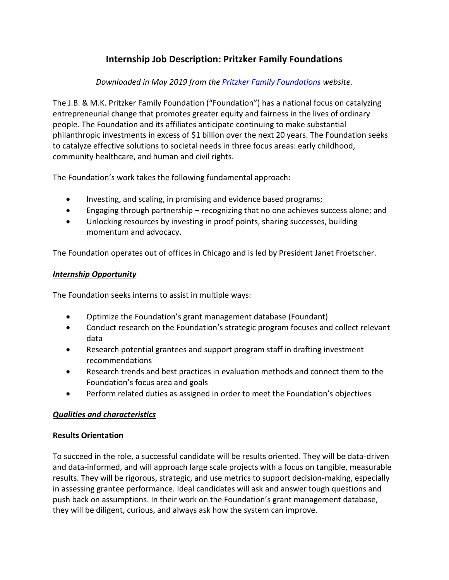# **Internship Job Description: Pritzker Family Foundations**

## *Downloaded in May 2019 from the [Pritzker Family Foundations w](https://www.linkedin.com/company/246986/life/)ebsite.*

The J.B. & M.K. Pritzker Family Foundation ("Foundation") has a national focus on catalyzing entrepreneurial change that promotes greater equity and fairness in the lives of ordinary people. The Foundation and its affiliates anticipate continuing to make substantial philanthropic investments in excess of \$1 billion over the next 20 years. The Foundation seeks to catalyze effective solutions to societal needs in three focus areas: early childhood, community healthcare, and human and civil rights.

The Foundation's work takes the following fundamental approach:

- Investing, and scaling, in promising and evidence based programs;
- Engaging through partnership recognizing that no one achieves success alone; and
- Unlocking resources by investing in proof points, sharing successes, building momentum and advocacy.

The Foundation operates out of offices in Chicago and is led by President Janet Froetscher.

#### *Internship Opportunity*

The Foundation seeks interns to assist in multiple ways:

- Optimize the Foundation's grant management database (Foundant)
- Conduct research on the Foundation's strategic program focuses and collect relevant data
- Research potential grantees and support program staff in drafting investment recommendations
- Research trends and best practices in evaluation methods and connect them to the Foundation's focus area and goals
- Perform related duties as assigned in order to meet the Foundation's objectives

### *Qualities and characteristics*

### **Results Orientation**

To succeed in the role, a successful candidate will be results oriented. They will be data-driven and data-informed, and will approach large scale projects with a focus on tangible, measurable results. They will be rigorous, strategic, and use metrics to support decision-making, especially in assessing grantee performance. Ideal candidates will ask and answer tough questions and push back on assumptions. In their work on the Foundation's grant management database, they will be diligent, curious, and always ask how the system can improve.